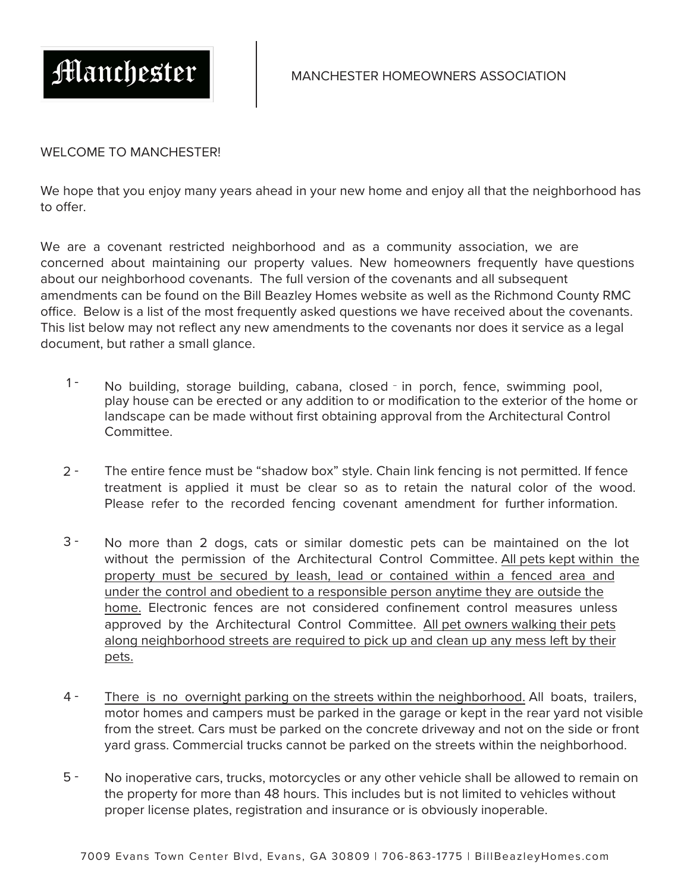

## WELCOME TO MANCHESTER!

We hope that you enjoy many years ahead in your new home and enjoy all that the neighborhood has to offer.

We are a covenant restricted neighborhood and as a community association, we are concerned about maintaining our property values. New homeowners frequently have questions about our neighborhood covenants. The full version of the covenants and all subsequent amendments can be found on the Bill Beazley Homes website as well as the Richmond County RMC office. Below is a list of the most frequently asked questions we have received about the covenants. This list below may not reflect any new amendments to the covenants nor does it service as a legal document, but rather a small glance.

- $1 -$ No building, storage building, cabana, closed - in porch, fence, swimming pool, play house can be erected or any addition to or modification to the exterior of the home or landscape can be made without first obtaining approval from the Architectural Control Committee.
- $2 -$ The entire fence must be "shadow box" style. Chain link fencing is not permitted. If fence treatment is applied it must be clear so as to retain the natural color of the wood. Please refer to the recorded fencing covenant amendment for further information.
- 3 No more than 2 dogs, cats or similar domestic pets can be maintained on the lot without the permission of the Architectural Control Committee. All pets kept within the property must be secured by leash, lead or contained within a fenced area and under the control and obedient to a responsible person anytime they are outside the home. Electronic fences are not considered confinement control measures unless approved by the Architectural Control Committee. All pet owners walking their pets along neighborhood streets are required to pick up and clean up any mess left by their pets.
- 4 There is no overnight parking on the streets within the neighborhood. All boats, trailers, motor homes and campers must be parked in the garage or kept in the rear yard not visible from the street. Cars must be parked on the concrete driveway and not on the side or front yard grass. Commercial trucks cannot be parked on the streets within the neighborhood.
- No inoperative cars, trucks, motorcycles or any other vehicle shall be allowed to remain on the property for more than 48 hours. This includes but is not limited to vehicles without proper license plates, registration and insurance or is obviously inoperable. 5 -